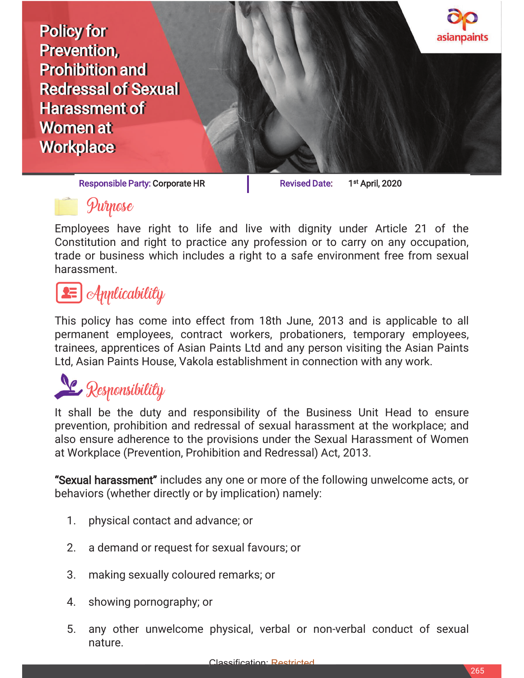

Responsible Party: Corporate HR Revised Date: 1<sup>st</sup> April, 2020



Employees have right to life and live with dignity under Article 21 of the Constitution and right to practice any profession or to carry on any occupation, trade or business which includes a right to a safe environment free from sexual harassment.

## $\equiv$   $\mid$  Applicability

This policy has come into effect from 18th June, 2013 and is applicable to all permanent employees, contract workers, probationers, temporary employees, trainees, apprentices of Asian Paints Ltd and any person visiting the Asian Paints Ltd, Asian Paints House, Vakola establishment in connection with any work.

# **L** Responsibility

It shall be the duty and responsibility of the Business Unit Head to ensure prevention, prohibition and redressal of sexual harassment at the workplace; and also ensure adherence to the provisions under the Sexual Harassment of Women at Workplace (Prevention, Prohibition and Redressal) Act, 2013.

"Sexual harassment" includes any one or more of the following unwelcome acts, or behaviors (whether directly or by implication) namely:

- 1. physical contact and advance; or
- 2. a demand or request for sexual favours; or
- 3. making sexually coloured remarks; or
- 4. showing pornography; or
- 5. any other unwelcome physical, verbal or non-verbal conduct of sexual nature.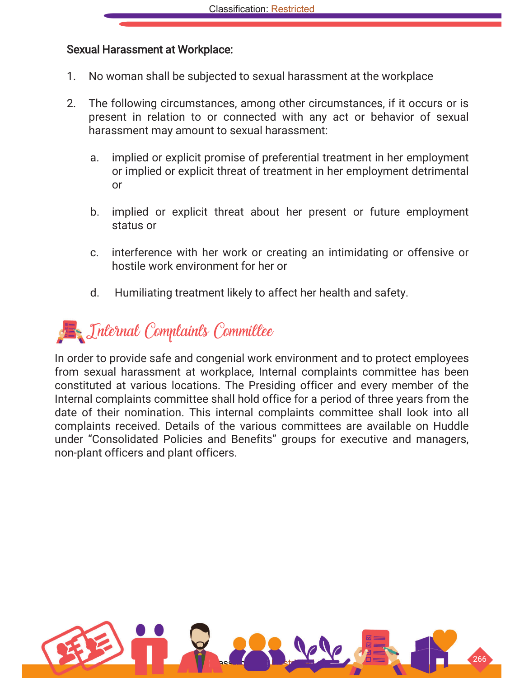#### Sexual Harassment at Workplace:

- 1. No woman shall be subjected to sexual harassment at the workplace
- 2. The following circumstances, among other circumstances, if it occurs or is present in relation to or connected with any act or behavior of sexual harassment may amount to sexual harassment:
	- a. implied or explicit promise of preferential treatment in her employment or implied or explicit threat of treatment in her employment detrimental or
	- b. implied or explicit threat about her present or future employment status or
	- c. interference with her work or creating an intimidating or offensive or hostile work environment for her or
	- d. Humiliating treatment likely to affect her health and safety.



In order to provide safe and congenial work environment and to protect employees from sexual harassment at workplace, Internal complaints committee has been constituted at various locations. The Presiding officer and every member of the Internal complaints committee shall hold office for a period of three years from the date of their nomination. This internal complaints committee shall look into all complaints received. Details of the various committees are available on Huddle under "Consolidated Policies and Benefits" groups for executive and managers, non-plant officers and plant officers.

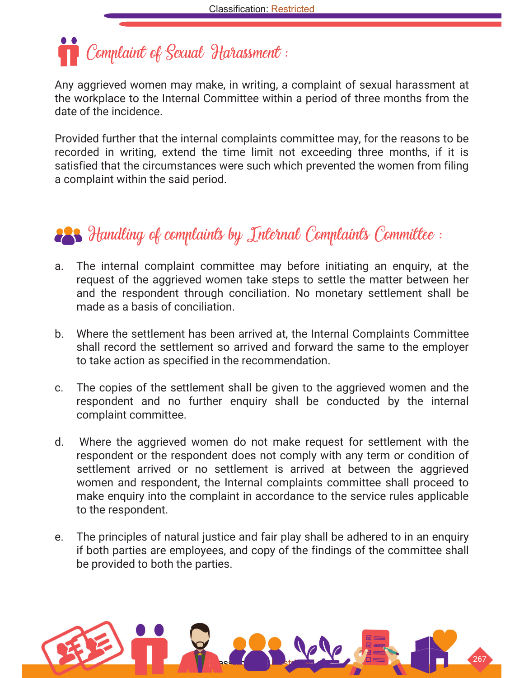Complaint of Sexual Harassment :

Any aggrieved women may make, in writing, a complaint of sexual harassment at the workplace to the Internal Committee within a period of three months from the date of the incidence.

Provided further that the internal complaints committee may, for the reasons to be recorded in writing, extend the time limit not exceeding three months, if it is satisfied that the circumstances were such which prevented the women from filing a complaint within the said period.

### **223** Handling of complaints by Internal Complaints Committee :

- a. The internal complaint committee may before initiating an enquiry, at the request of the aggrieved women take steps to settle the matter between her and the respondent through conciliation. No monetary settlement shall be made as a basis of conciliation.
- b. Where the settlement has been arrived at, the Internal Complaints Committee shall record the settlement so arrived and forward the same to the employer to take action as specified in the recommendation.
- c. The copies of the settlement shall be given to the aggrieved women and the respondent and no further enquiry shall be conducted by the internal complaint committee.
- d. Where the aggrieved women do not make request for settlement with the respondent or the respondent does not comply with any term or condition of settlement arrived or no settlement is arrived at between the aggrieved women and respondent, the Internal complaints committee shall proceed to make enquiry into the complaint in accordance to the service rules applicable to the respondent.
- e. The principles of natural justice and fair play shall be adhered to in an enquiry if both parties are employees, and copy of the findings of the committee shall be provided to both the parties.

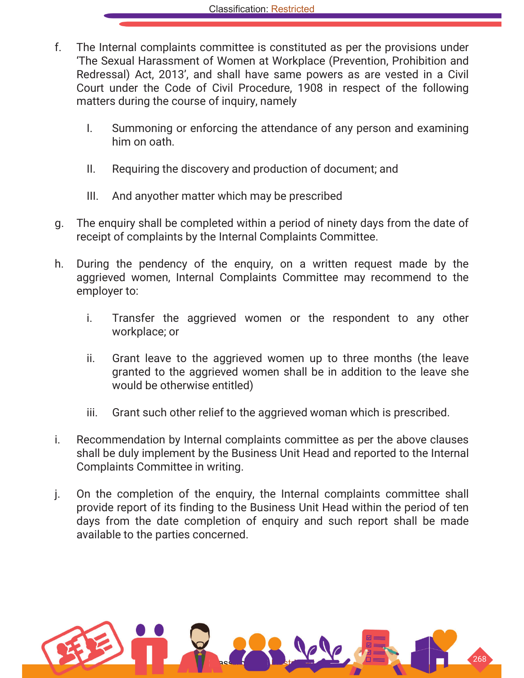- f. The Internal complaints committee is constituted as per the provisions under 'The Sexual Harassment of Women at Workplace (Prevention, Prohibition and Redressal) Act, 2013', and shall have same powers as are vested in a Civil Court under the Code of Civil Procedure, 1908 in respect of the following matters during the course of inquiry, namely
	- I. Summoning or enforcing the attendance of any person and examining him on oath.
	- II. Requiring the discovery and production of document; and
	- III. And anyother matter which may be prescribed
- g. The enquiry shall be completed within a period of ninety days from the date of receipt of complaints by the Internal Complaints Committee.
- h. During the pendency of the enquiry, on a written request made by the aggrieved women, Internal Complaints Committee may recommend to the employer to:
	- i. Transfer the aggrieved women or the respondent to any other workplace; or
	- ii. Grant leave to the aggrieved women up to three months (the leave granted to the aggrieved women shall be in addition to the leave she would be otherwise entitled)
	- iii. Grant such other relief to the aggrieved woman which is prescribed.
- i. Recommendation by Internal complaints committee as per the above clauses shall be duly implement by the Business Unit Head and reported to the Internal Complaints Committee in writing.
- j. On the completion of the enquiry, the Internal complaints committee shall provide report of its finding to the Business Unit Head within the period of ten days from the date completion of enquiry and such report shall be made available to the parties concerned.

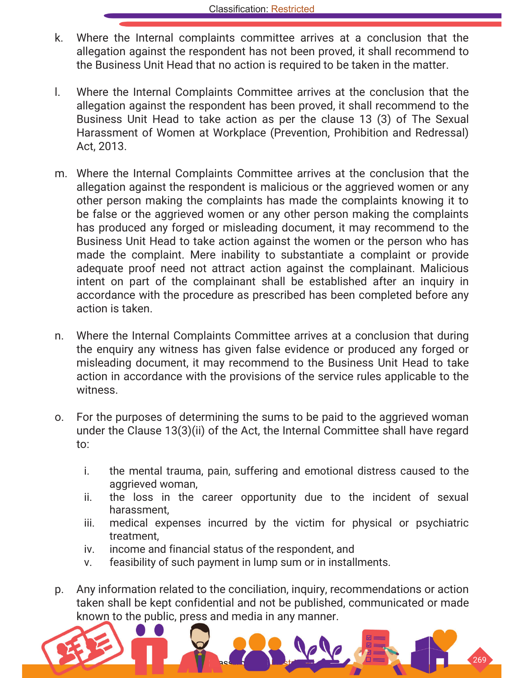- k. Where the Internal complaints committee arrives at a conclusion that the allegation against the respondent has not been proved, it shall recommend to the Business Unit Head that no action is required to be taken in the matter.
- l. Where the Internal Complaints Committee arrives at the conclusion that the allegation against the respondent has been proved, it shall recommend to the Business Unit Head to take action as per the clause 13 (3) of The Sexual Harassment of Women at Workplace (Prevention, Prohibition and Redressal) Act, 2013.
- m. Where the Internal Complaints Committee arrives at the conclusion that the allegation against the respondent is malicious or the aggrieved women or any other person making the complaints has made the complaints knowing it to be false or the aggrieved women or any other person making the complaints has produced any forged or misleading document, it may recommend to the Business Unit Head to take action against the women or the person who has made the complaint. Mere inability to substantiate a complaint or provide adequate proof need not attract action against the complainant. Malicious intent on part of the complainant shall be established after an inquiry in accordance with the procedure as prescribed has been completed before any action is taken.
- n. Where the Internal Complaints Committee arrives at a conclusion that during the enquiry any witness has given false evidence or produced any forged or misleading document, it may recommend to the Business Unit Head to take action in accordance with the provisions of the service rules applicable to the witness.
- o. For the purposes of determining the sums to be paid to the aggrieved woman under the Clause 13(3)(ii) of the Act, the Internal Committee shall have regard to:
	- i. the mental trauma, pain, suffering and emotional distress caused to the aggrieved woman,
	- ii. the loss in the career opportunity due to the incident of sexual harassment,
	- iii. medical expenses incurred by the victim for physical or psychiatric treatment,
	- iv. income and financial status of the respondent, and
	- v. feasibility of such payment in lump sum or in installments.
- p. Any information related to the conciliation, inquiry, recommendations or action taken shall be kept confidential and not be published, communicated or made known to the public, press and media in any manner.

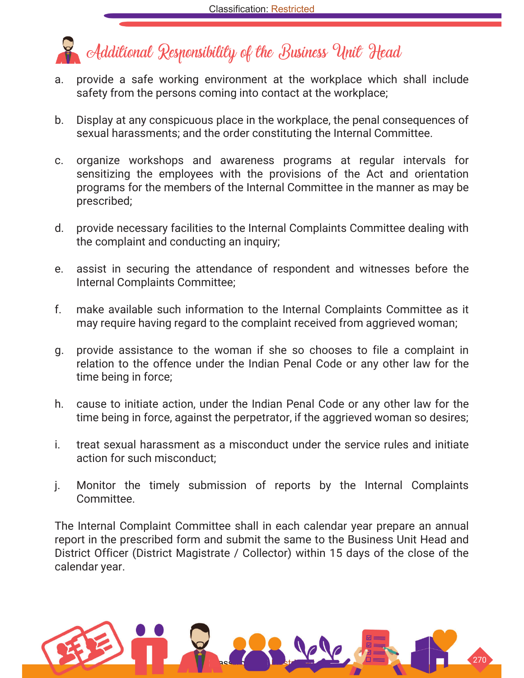## **Additional Responsibility of the Business Unit Head**

- a. provide a safe working environment at the workplace which shall include safety from the persons coming into contact at the workplace;
- b. Display at any conspicuous place in the workplace, the penal consequences of sexual harassments; and the order constituting the Internal Committee.
- c. organize workshops and awareness programs at regular intervals for sensitizing the employees with the provisions of the Act and orientation programs for the members of the Internal Committee in the manner as may be prescribed;
- d. provide necessary facilities to the Internal Complaints Committee dealing with the complaint and conducting an inquiry;
- e. assist in securing the attendance of respondent and witnesses before the Internal Complaints Committee;
- f. make available such information to the Internal Complaints Committee as it may require having regard to the complaint received from aggrieved woman;
- g. provide assistance to the woman if she so chooses to file a complaint in relation to the offence under the Indian Penal Code or any other law for the time being in force;
- h. cause to initiate action, under the Indian Penal Code or any other law for the time being in force, against the perpetrator, if the aggrieved woman so desires;
- i. treat sexual harassment as a misconduct under the service rules and initiate action for such misconduct;
- j. Monitor the timely submission of reports by the Internal Complaints Committee.

The Internal Complaint Committee shall in each calendar year prepare an annual report in the prescribed form and submit the same to the Business Unit Head and District Officer (District Magistrate / Collector) within 15 days of the close of the calendar year.

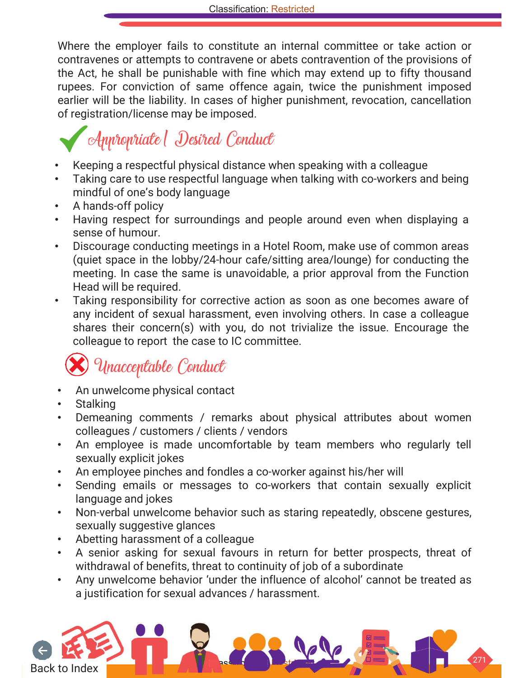Where the employer fails to constitute an internal committee or take action or contravenes or attempts to contravene or abets contravention of the provisions of the Act, he shall be punishable with fine which may extend up to fifty thousand rupees. For conviction of same offence again, twice the punishment imposed earlier will be the liability. In cases of higher punishment, revocation, cancellation of registration/license may be imposed.

## Appropriate/ Desired Conduct

- Keeping a respectful physical distance when speaking with a colleague
- Taking care to use respectful language when talking with co-workers and being mindful of one's body language
- A hands-off policy
- Having respect for surroundings and people around even when displaying a sense of humour.
- Discourage conducting meetings in a Hotel Room, make use of common areas (quiet space in the lobby/24-hour cafe/sitting area/lounge) for conducting the meeting. In case the same is unavoidable, a prior approval from the Function Head will be required.
- Taking responsibility for corrective action as soon as one becomes aware of any incident of sexual harassment, even involving others. In case a colleague shares their concern(s) with you, do not trivialize the issue. Encourage the colleague to report the case to IC committee.

## Unacceptable Conduct

- An unwelcome physical contact
- Stalking
- Demeaning comments / remarks about physical attributes about women colleagues / customers / clients / vendors
- An employee is made uncomfortable by team members who regularly tell sexually explicit jokes
- An employee pinches and fondles a co-worker against his/her will
- Sending emails or messages to co-workers that contain sexually explicit language and jokes
- Non-verbal unwelcome behavior such as staring repeatedly, obscene gestures, sexually suggestive glances
- Abetting harassment of a colleague
- A senior asking for sexual favours in return for better prospects, threat of withdrawal of benefits, threat to continuity of job of a subordinate
- Any unwelcome behavior 'under the influence of alcohol' cannot be treated as a justification for sexual advances / harassment.